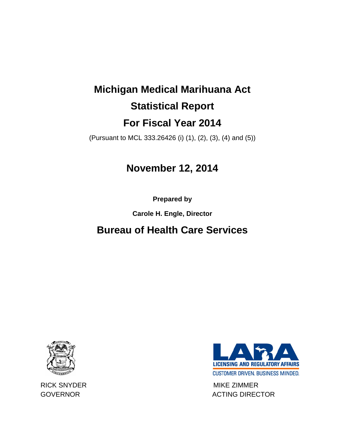# **Michigan Medical Marihuana Act Statistical Report For Fiscal Year 2014**

(Pursuant to MCL 333.26426 (i) (1), (2), (3), (4) and (5))

## **November 12, 2014**

**Prepared by** 

**Carole H. Engle, Director**

## **Bureau of Health Care Services**





RICK SNYDER MIKE ZIMMER GOVERNOR GOVERNOR ACTING DIRECTOR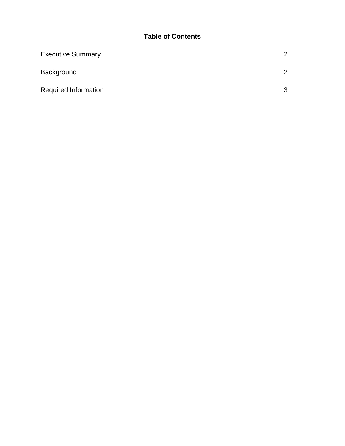### **Table of Contents**

| <b>Executive Summary</b>    | 2             |
|-----------------------------|---------------|
| Background                  | $\mathcal{P}$ |
| <b>Required Information</b> | 3             |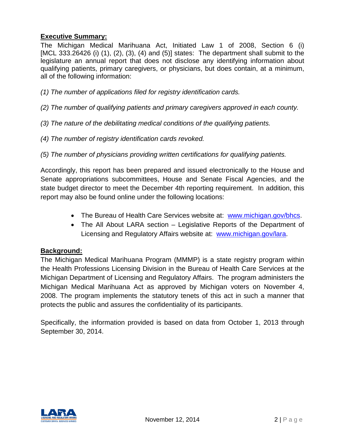#### **Executive Summary:**

The Michigan Medical Marihuana Act, Initiated Law 1 of 2008, Section 6 (i) [MCL 333.26426 (i) (1), (2), (3), (4) and (5)] states: The department shall submit to the legislature an annual report that does not disclose any identifying information about qualifying patients, primary caregivers, or physicians, but does contain, at a minimum, all of the following information:

- *(1) The number of applications filed for registry identification cards.*
- *(2) The number of qualifying patients and primary caregivers approved in each county.*
- *(3) The nature of the debilitating medical conditions of the qualifying patients.*
- *(4) The number of registry identification cards revoked.*
- *(5) The number of physicians providing written certifications for qualifying patients.*

Accordingly, this report has been prepared and issued electronically to the House and Senate appropriations subcommittees, House and Senate Fiscal Agencies, and the state budget director to meet the December 4th reporting requirement. In addition, this report may also be found online under the following locations:

- The Bureau of Health Care Services website at: [www.michigan.gov/bhcs.](http://www.michigan.gov/bhcs)
- The All About LARA section Legislative Reports of the Department of Licensing and Regulatory Affairs website at: [www.michigan.gov/lara.](http://www.michigan.gov/lara)

#### **Background:**

The Michigan Medical Marihuana Program (MMMP) is a state registry program within the Health Professions Licensing Division in the Bureau of Health Care Services at the Michigan Department of Licensing and Regulatory Affairs. The program administers the Michigan Medical Marihuana Act as approved by Michigan voters on November 4, 2008. The program implements the statutory tenets of this act in such a manner that protects the public and assures the confidentiality of its participants.

Specifically, the information provided is based on data from October 1, 2013 through September 30, 2014.

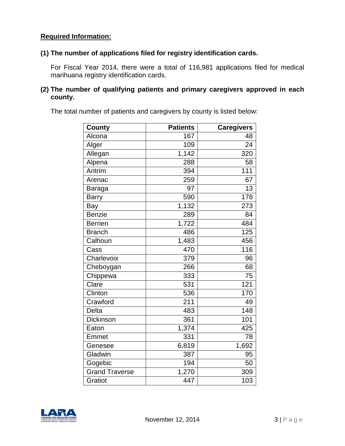#### **Required Information:**

#### **(1) The number of applications filed for registry identification cards.**

For Fiscal Year 2014, there were a total of 116,981 applications filed for medical marihuana registry identification cards.

#### **(2) The number of qualifying patients and primary caregivers approved in each county.**

The total number of patients and caregivers by county is listed below:

| <b>County</b>         | <b>Patients</b> | <b>Caregivers</b> |
|-----------------------|-----------------|-------------------|
| Alcona                | 167             | 48                |
| Alger                 | 109             | 24                |
| Allegan               | 1,142           | 320               |
| Alpena                | 288             | 58                |
| Antrim                | 394             | 111               |
| Arenac                | 259             | 67                |
| Baraga                | 97              | 13                |
| <b>Barry</b>          | 590             | 178               |
| Bay                   | 1,132           | 273               |
| <b>Benzie</b>         | 289             | 84                |
| <b>Berrien</b>        | 1,722           | 484               |
| <b>Branch</b>         | 486             | 125               |
| Calhoun               | 1,483           | 456               |
| Cass                  | 470             | 116               |
| Charlevoix            | 379             | 96                |
| Cheboygan             | 266             | 68                |
| Chippewa              | 333             | 75                |
| Clare                 | 531             | 121               |
| Clinton               | 536             | 170               |
| Crawford              | 211             | 49                |
| <b>Delta</b>          | 483             | $\overline{1}$ 48 |
| <b>Dickinson</b>      | 361             | 101               |
| Eaton                 | 1,374           | 425               |
| Emmet                 | 331             | 78                |
| Genesee               | 6,819           | 1,692             |
| Gladwin               | 387             | 95                |
| Gogebic               | 194             | 50                |
| <b>Grand Traverse</b> | 1,270           | 309               |
| Gratiot               | 447             | 103               |

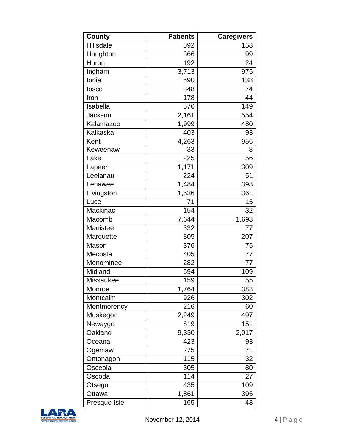| County       | <b>Patients</b> | <b>Caregivers</b> |
|--------------|-----------------|-------------------|
| Hillsdale    | 592             | 153               |
| Houghton     | 366             | 99                |
| Huron        | 192             | 24                |
| Ingham       | 3,713           | 975               |
| Ionia        | 590             | 138               |
| losco        | 348             | 74                |
| Iron         | 178             | 44                |
| Isabella     | 576             | 149               |
| Jackson      | 2,161           | 554               |
| Kalamazoo    | 1,999           | 480               |
| Kalkaska     | 403             | 93                |
| Kent         | 4,263           | 956               |
| Keweenaw     | 33              | 8                 |
| Lake         | 225             | 56                |
| Lapeer       | 1,171           | 309               |
| Leelanau     | 224             | 51                |
| Lenawee      | 1,484           | 398               |
| Livingston   | 1,536           | 361               |
| Luce         | 71              | 15                |
| Mackinac     | 154             | 32                |
| Macomb       | 7,644           | 1,693             |
| Manistee     | 332             | 77                |
| Marquette    | 805             | 207               |
| Mason        | 376             | 75                |
| Mecosta      | 405             | 77                |
| Menominee    | 282             | 77                |
| Midland      | 594             | 109               |
| Missaukee    | 159             | 55                |
| Monroe       | 1,764           | 388               |
| Montcalm     | 926             | 302               |
| Montmorency  | 216             | 60                |
| Muskegon     | 2,249           | 497               |
| Newaygo      | 619             | 151               |
| Oakland      | 9,330           | 2,017             |
| Oceana       | 423             | 93                |
| Ogemaw       | 275             | 71                |
| Ontonagon    | 115             | 32                |
| Osceola      | 305             | 80                |
| Oscoda       | 114             | 27                |
| Otsego       | 435             | 109               |
| Ottawa       | 1,861           | 395               |
| Presque Isle | 165             | 43                |

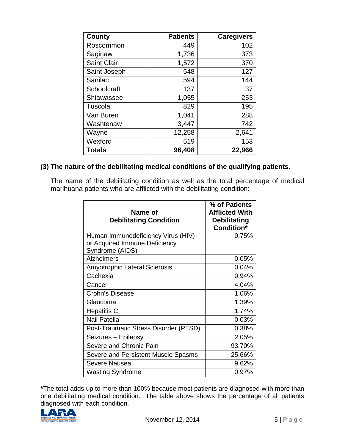| <b>County</b>      | <b>Patients</b> | <b>Caregivers</b> |
|--------------------|-----------------|-------------------|
| Roscommon          | 449             | 102               |
| Saginaw            | 1,736           | 373               |
| <b>Saint Clair</b> | 1,572           | 370               |
| Saint Joseph       | 548             | 127               |
| Sanilac            | 594             | 144               |
| Schoolcraft        | 137             | 37                |
| Shiawassee         | 1,055           | 253               |
| Tuscola            | 829             | 195               |
| Van Buren          | 1,041           | 288               |
| Washtenaw          | 3,447           | 742               |
| Wayne              | 12,258          | 2,641             |
| Wexford            | 519             | 153               |
| <b>Totals</b>      | 96,408          | 22,966            |

#### **(3) The nature of the debilitating medical conditions of the qualifying patients.**

The name of the debilitating condition as well as the total percentage of medical marihuana patients who are afflicted with the debilitating condition:

| Name of<br><b>Debilitating Condition</b>         | % of Patients<br><b>Afflicted With</b><br><b>Debilitating</b><br><b>Condition*</b> |
|--------------------------------------------------|------------------------------------------------------------------------------------|
| Human Immunodeficiency Virus (HIV)               | 0.75%                                                                              |
| or Acquired Immune Deficiency<br>Syndrome (AIDS) |                                                                                    |
| <b>Alzheimers</b>                                | 0.05%                                                                              |
| <b>Amyotrophic Lateral Sclerosis</b>             | 0.04%                                                                              |
| Cachexia                                         | 0.94%                                                                              |
| Cancer                                           | 4.04%                                                                              |
| <b>Crohn's Disease</b>                           | 1.06%                                                                              |
| Glaucoma                                         | 1.39%                                                                              |
| <b>Hepatitis C</b>                               | 1.74%                                                                              |
| <b>Nail Patella</b>                              | 0.03%                                                                              |
| Post-Traumatic Stress Disorder (PTSD)            | 0.38%                                                                              |
| Seizures - Epilepsy                              | 2.05%                                                                              |
| Severe and Chronic Pain                          | 93.70%                                                                             |
| Severe and Persistent Muscle Spasms              | 25.66%                                                                             |
| Severe Nausea                                    | 9.62%                                                                              |
| <b>Wasting Syndrome</b>                          | 0.97%                                                                              |

**\***The total adds up to more than 100% because most patients are diagnosed with more than one debilitating medical condition. The table above shows the percentage of all patients diagnosed with each condition.